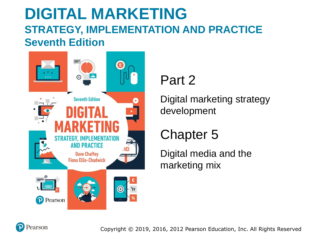### **DIGITAL MARKETING STRATEGY, IMPLEMENTATION AND PRACTICE Seventh Edition**



#### Part 2

Digital marketing strategy development

#### Chapter 5

Digital media and the marketing mix

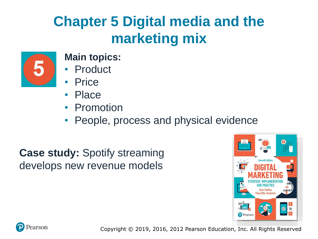# **Chapter 5 Digital media and the marketing mix**



#### **Main topics:**

- **Product**
- **Price**
- Place
- Promotion
- People, process and physical evidence

**Case study:** Spotify streaming develops new revenue models



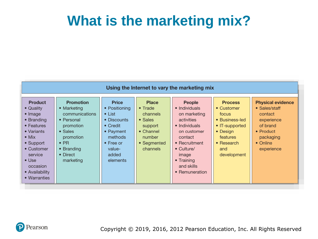## **What is the marketing mix?**

| Using the Internet to vary the marketing mix                                                                                                                                                                   |                                                                                                                                                                     |                                                                                                                                                        |                                                                                                                                     |                                                                                                                                                                                                |                                                                                                                                       |                                                                                                                                            |
|----------------------------------------------------------------------------------------------------------------------------------------------------------------------------------------------------------------|---------------------------------------------------------------------------------------------------------------------------------------------------------------------|--------------------------------------------------------------------------------------------------------------------------------------------------------|-------------------------------------------------------------------------------------------------------------------------------------|------------------------------------------------------------------------------------------------------------------------------------------------------------------------------------------------|---------------------------------------------------------------------------------------------------------------------------------------|--------------------------------------------------------------------------------------------------------------------------------------------|
| <b>Product</b><br>• Quality<br>• Image<br>• Branding<br>$\bullet$ Features<br>• Variants<br>$\bullet$ Mix<br>• Support<br>• Customer<br>service<br>$\bullet$ Use<br>occasion<br>• Availability<br>• Warranties | <b>Promotion</b><br>• Marketing<br>communications<br>• Personal<br>promotion<br>$\bullet$ Sales<br>promotion<br>$\bullet$ PR<br>• Branding<br>• Direct<br>marketing | <b>Price</b><br>• Positioning<br>$\bullet$ List<br>• Discounts<br>• Credit<br>• Payment<br>methods<br>$\bullet$ Free or<br>value-<br>added<br>elements | <b>Place</b><br>$\bullet$ Trade<br>channels<br>$\bullet$ Sales<br>support<br>$\bullet$ Channel<br>number<br>• Segmented<br>channels | People<br>• Individuals<br>on marketing<br>activities<br>• Individuals<br>on customer<br>contact<br>$\bullet$ Recruitment<br>• Culture/<br>image<br>• Training<br>and skills<br>• Remuneration | <b>Process</b><br>• Customer<br>focus<br>• Business-led<br>• IT-supported<br>• Design<br>features<br>• Research<br>and<br>development | <b>Physical evidence</b><br>• Sales/staff<br>contact<br>experience<br>of brand<br>$\bullet$ Product<br>packaging<br>• Online<br>experience |

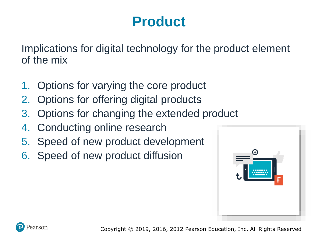# **Product**

Implications for digital technology for the product element of the mix

- 1. Options for varying the core product
- 2. Options for offering digital products
- 3. Options for changing the extended product
- 4. Conducting online research
- 5. Speed of new product development
- 6. Speed of new product diffusion



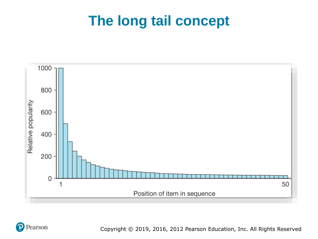## **The long tail concept**



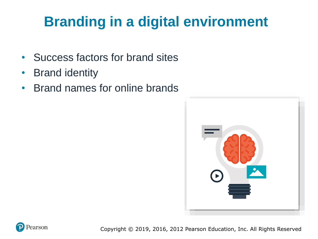# **Branding in a digital environment**

- Success factors for brand sites
- Brand identity
- Brand names for online brands



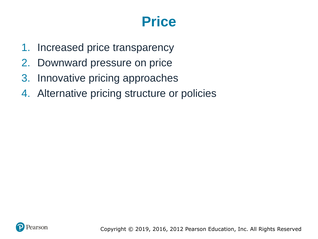## **Price**

- 1. Increased price transparency
- 2. Downward pressure on price
- 3. Innovative pricing approaches
- 4. Alternative pricing structure or policies

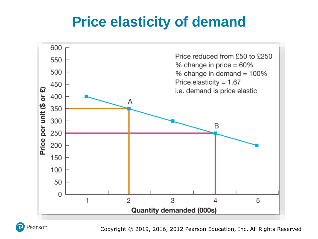## **Price elasticity of demand**



Pearson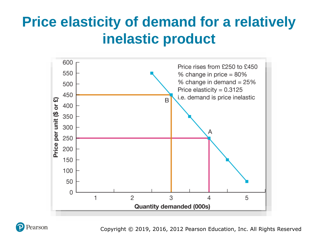# **Price elasticity of demand for a relatively inelastic product**



earson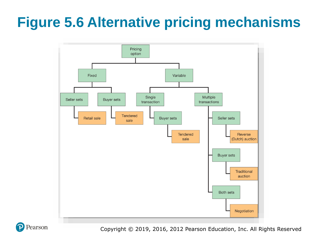# **Figure 5.6 Alternative pricing mechanisms**



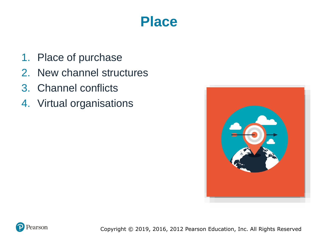### **Place**

- 1. Place of purchase
- 2. New channel structures
- 3. Channel conflicts
- 4. Virtual organisations



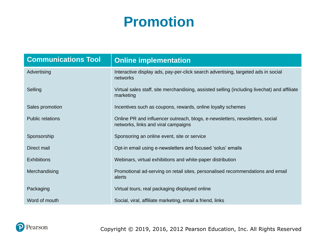## **Promotion**

| <b>Communications Tool</b> | <b>Online implementation</b>                                                                                        |  |  |
|----------------------------|---------------------------------------------------------------------------------------------------------------------|--|--|
| Advertising                | Interactive display ads, pay-per-click search advertising, targeted ads in social<br>networks                       |  |  |
| Selling                    | Virtual sales staff, site merchandising, assisted selling (including livechat) and affiliate<br>marketing           |  |  |
| Sales promotion            | Incentives such as coupons, rewards, online loyalty schemes                                                         |  |  |
| <b>Public relations</b>    | Online PR and influencer outreach, blogs, e-newsletters, newsletters, social<br>networks, links and viral campaigns |  |  |
| Sponsorship                | Sponsoring an online event, site or service                                                                         |  |  |
| Direct mail                | Opt-in email using e-newsletters and focused 'solus' emails                                                         |  |  |
| <b>Exhibitions</b>         | Webinars, virtual exhibitions and white-paper distribution                                                          |  |  |
| Merchandising              | Promotional ad-serving on retail sites, personalised recommendations and email<br>alerts                            |  |  |
| Packaging                  | Virtual tours, real packaging displayed online                                                                      |  |  |
| Word of mouth              | Social, viral, affiliate marketing, email a friend, links                                                           |  |  |

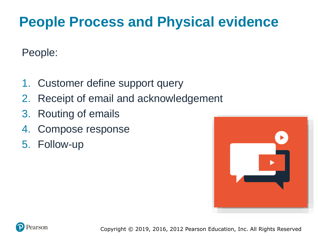# **People Process and Physical evidence**

People:

- 1. Customer define support query
- 2. Receipt of email and acknowledgement
- 3. Routing of emails
- 4. Compose response
- 5. Follow-up



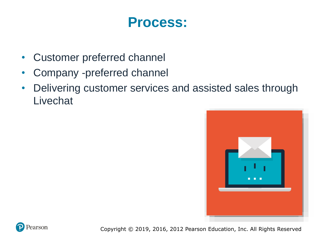#### **Process:**

- Customer preferred channel
- Company -preferred channel
- Delivering customer services and assisted sales through Livechat



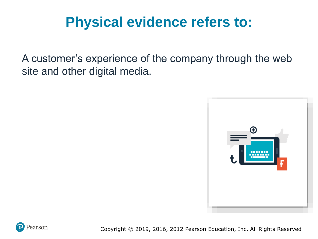# **Physical evidence refers to:**

A customer's experience of the company through the web site and other digital media.